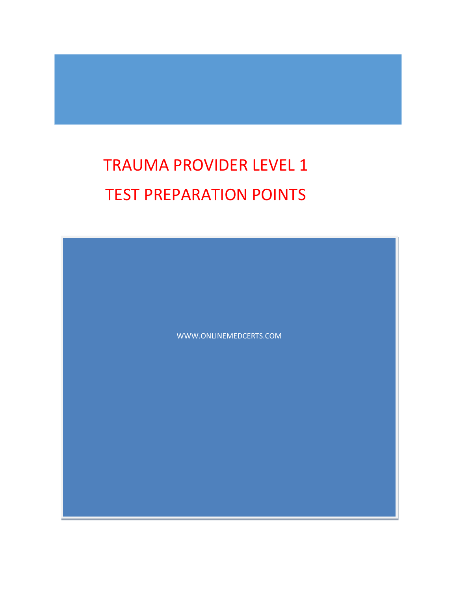# TRAUMA PROVIDER LEVEL 1 TEST PREPARATION POINTS

WWW.ONLINEMEDCERTS.COM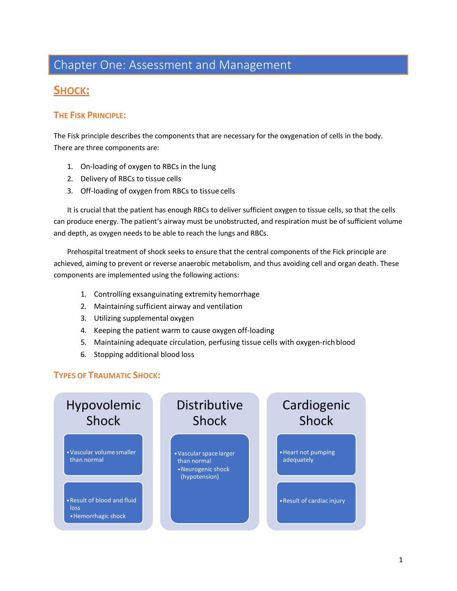### Chapter One: Assessment and Management

### **SHOCK:**

#### **THE FISK PRINCIPLE:**

The Fisk principle describes the components that are necessary for the oxygenation of cells in the body. There are three components are:

- 1. On-loading of oxygen to RBCs in the lung
- 2. Delivery of RBCs to tissue cells
- 3. Off-loading of oxygen from RBCs to tissue cells

It is crucial that the patient has enough RBCs to deliver sufficient oxygen to tissue cells, so that the cells can produce energy. The patient's airway must be unobstructed, and respiration must be of sufficient volume and depth, as oxygen needs to be able to reach the lungs and RBCs.

Prehospital treatment of shock seeks to ensure that the central components of the Fick principle are achieved, aiming to prevent or reverse anaerobic metabolism, and thus avoiding cell and organ death. These components are implemented using the following actions:

- 1. Controlling exsanguinating extremity hemorrhage
- 2. Maintaining sufficient airway and ventilation
- 3. Utilizing supplemental oxygen
- 4. Keeping the patient warm to cause oxygen off-loading
- 5. Maintaining adequate circulation, perfusing tissue cells with oxygen-richblood
- 6. Stopping additional blood loss

#### **TYPES OF TRAUMATIC SHOCK:**

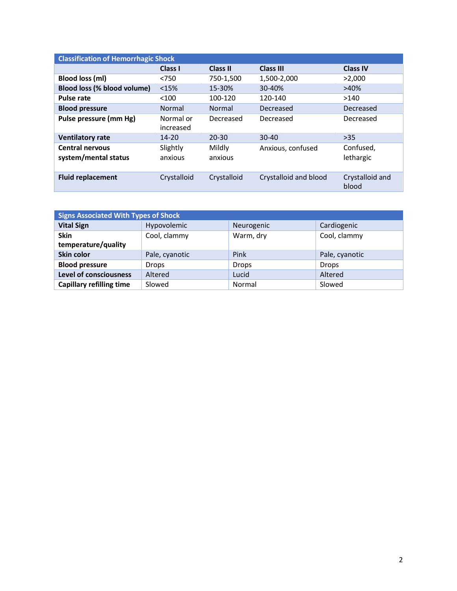| <b>Classification of Hemorrhagic Shock</b>     |                        |                   |                       |                          |
|------------------------------------------------|------------------------|-------------------|-----------------------|--------------------------|
|                                                | Class I                | <b>Class II</b>   | <b>Class III</b>      | <b>Class IV</b>          |
| <b>Blood loss (ml)</b>                         | < 750                  | 750-1,500         | 1,500-2,000           | >2,000                   |
| Blood loss (% blood volume)                    | <15%                   | 15-30%            | 30-40%                | >40%                     |
| <b>Pulse rate</b>                              | < 100                  | 100-120           | 120-140               | >140                     |
| <b>Blood pressure</b>                          | Normal                 | Normal            | Decreased             | Decreased                |
| Pulse pressure (mm Hg)                         | Normal or<br>increased | Decreased         | Decreased             | Decreased                |
| <b>Ventilatory rate</b>                        | $14 - 20$              | 20-30             | $30 - 40$             | >35                      |
| <b>Central nervous</b><br>system/mental status | Slightly<br>anxious    | Mildly<br>anxious | Anxious, confused     | Confused,<br>lethargic   |
| <b>Fluid replacement</b>                       | Crystalloid            | Crystalloid       | Crystalloid and blood | Crystalloid and<br>blood |

| <b>Signs Associated With Types of Shock</b> |                |              |                |
|---------------------------------------------|----------------|--------------|----------------|
| <b>Vital Sign</b>                           | Hypovolemic    | Neurogenic   | Cardiogenic    |
| <b>Skin</b><br>temperature/quality          | Cool, clammy   | Warm, dry    | Cool, clammy   |
| <b>Skin color</b>                           | Pale, cyanotic | Pink         | Pale, cyanotic |
| <b>Blood pressure</b>                       | Drops          | <b>Drops</b> | <b>Drops</b>   |
| <b>Level of consciousness</b>               | Altered        | Lucid        | Altered        |
| <b>Capillary refilling time</b>             | Slowed         | Normal       | Slowed         |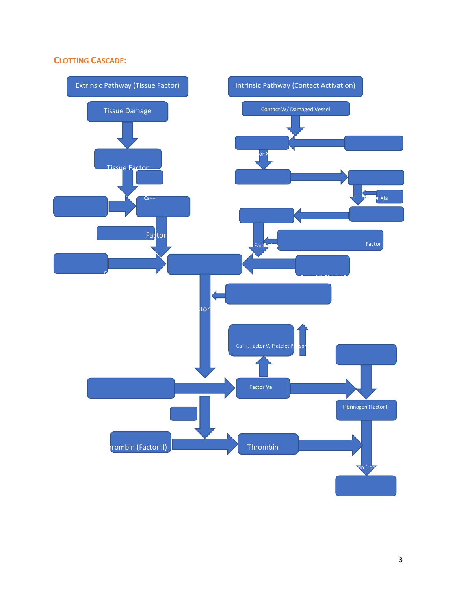#### **CLOTTING CASCADE:**

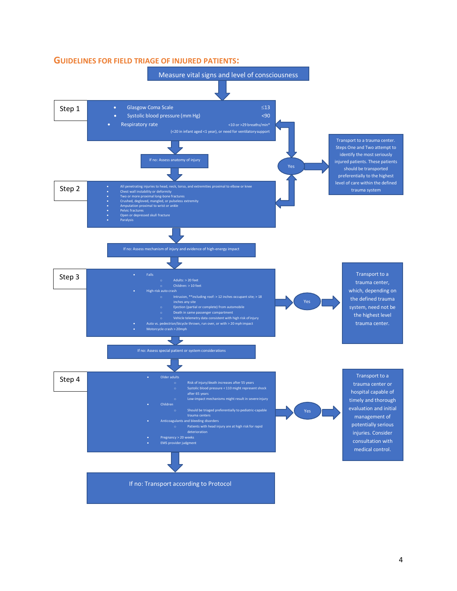

#### **GUIDELINES FOR FIELD TRIAGE OF INJURED PATIENTS:**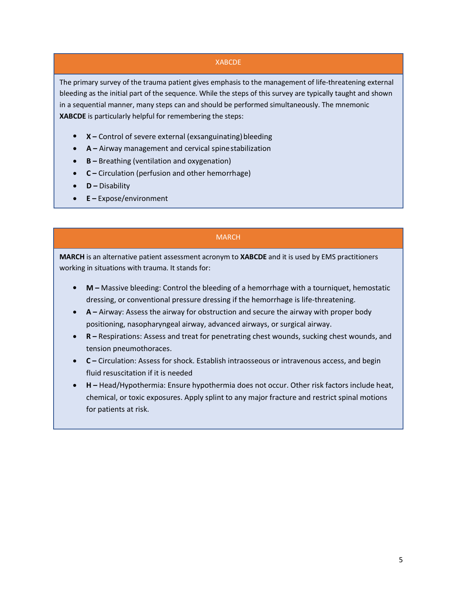#### XABCDE

The primary survey of the trauma patient gives emphasis to the management of life-threatening external bleeding as the initial part of the sequence. While the steps of this survey are typically taught and shown in a sequential manner, many steps can and should be performed simultaneously. The mnemonic **XABCDE** is particularly helpful for remembering the steps:

- X Control of severe external (exsanguinating) bleeding
- **A –** Airway management and cervical spinestabilization •
- **B –** Breathing (ventilation and oxygenation) •
- **C –** Circulation (perfusion and other hemorrhage) •
- **D –** Disability •
- **E –** Expose/environment •

#### MARCH

**MARCH** is an alternative patient assessment acronym to **XABCDE** and it is used by EMS practitioners working in situations with trauma. It stands for:

- **M –** Massive bleeding: Control the bleeding of a hemorrhage with a tourniquet, hemostatic dressing, or conventional pressure dressing if the hemorrhage is life-threatening. •
- **A –** Airway: Assess the airway for obstruction and secure the airway with proper body positioning, nasopharyngeal airway, advanced airways, or surgical airway.
- **R –** Respirations: Assess and treat for penetrating chest wounds, sucking chest wounds, and tension pneumothoraces. •
- **C –** Circulation: Assess for shock. Establish intraosseous or intravenous access, and begin fluid resuscitation if it is needed
- **H –** Head/Hypothermia: Ensure hypothermia does not occur. Other risk factors include heat, chemical, or toxic exposures. Apply splint to any major fracture and restrict spinal motions for patients at risk. •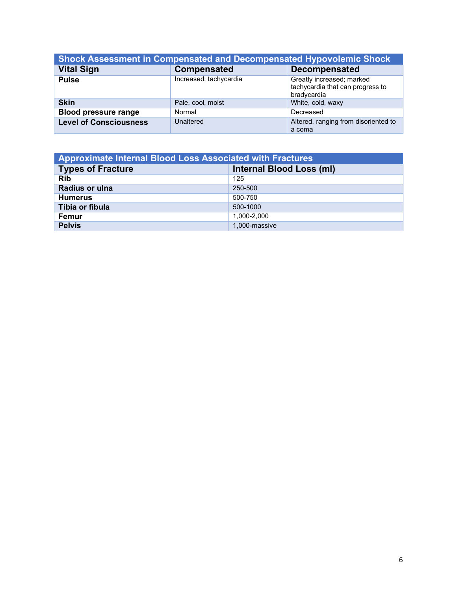| <b>Shock Assessment in Compensated and Decompensated Hypovolemic Shock</b> |                        |                                                                              |
|----------------------------------------------------------------------------|------------------------|------------------------------------------------------------------------------|
| <b>Vital Sign</b>                                                          | Compensated            | <b>Decompensated</b>                                                         |
| <b>Pulse</b>                                                               | Increased; tachycardia | Greatly increased; marked<br>tachycardia that can progress to<br>bradycardia |
| <b>Skin</b>                                                                | Pale, cool, moist      | White, cold, waxy                                                            |
| <b>Blood pressure range</b>                                                | Normal                 | Decreased                                                                    |
| <b>Level of Consciousness</b>                                              | Unaltered              | Altered, ranging from disoriented to<br>a coma                               |

| <b>Approximate Internal Blood Loss Associated with Fractures</b> |                          |  |
|------------------------------------------------------------------|--------------------------|--|
| <b>Types of Fracture</b>                                         | Internal Blood Loss (ml) |  |
| <b>Rib</b>                                                       | 125                      |  |
| Radius or ulna                                                   | 250-500                  |  |
| <b>Humerus</b>                                                   | 500-750                  |  |
| Tibia or fibula                                                  | 500-1000                 |  |
| Femur                                                            | 1.000-2.000              |  |
| <b>Pelvis</b>                                                    | 1.000-massive            |  |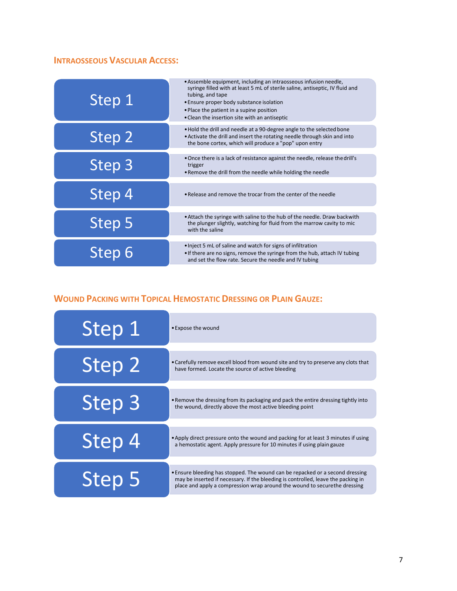### **INTRAOSSEOUS VASCULAR ACCESS:**

| Step 1 | • Assemble equipment, including an intraosseous infusion needle,<br>syringe filled with at least 5 mL of sterile saline, antiseptic, IV fluid and<br>tubing, and tape<br>• Ensure proper body substance isolation<br>• Place the patient in a supine position<br>• Clean the insertion site with an antiseptic |
|--------|----------------------------------------------------------------------------------------------------------------------------------------------------------------------------------------------------------------------------------------------------------------------------------------------------------------|
| Step 2 | . Hold the drill and needle at a 90-degree angle to the selected bone<br>. Activate the drill and insert the rotating needle through skin and into<br>the bone cortex, which will produce a "pop" upon entry                                                                                                   |
| Step 3 | • Once there is a lack of resistance against the needle, release the drill's<br>trigger<br>. Remove the drill from the needle while holding the needle                                                                                                                                                         |
| Step 4 | • Release and remove the trocar from the center of the needle                                                                                                                                                                                                                                                  |
| Step 5 | • Attach the syringe with saline to the hub of the needle. Draw backwith<br>the plunger slightly, watching for fluid from the marrow cavity to mic<br>with the saline                                                                                                                                          |
| Step 6 | . Inject 5 mL of saline and watch for signs of infiltration<br>• If there are no signs, remove the syringe from the hub, attach IV tubing<br>and set the flow rate. Secure the needle and IV tubing                                                                                                            |

### **WOUND PACKING WITH TOPICAL HEMOSTATIC DRESSING OR PLAIN GAUZE:**

| Step 1            | • Expose the wound                                                                                                                                                                                                                              |
|-------------------|-------------------------------------------------------------------------------------------------------------------------------------------------------------------------------------------------------------------------------------------------|
| Step 2            | • Carefully remove excell blood from wound site and try to preserve any clots that<br>have formed. Locate the source of active bleeding                                                                                                         |
| Step 3            | . Remove the dressing from its packaging and pack the entire dressing tightly into<br>the wound, directly above the most active bleeding point                                                                                                  |
| Step 4            | • Apply direct pressure onto the wound and packing for at least 3 minutes if using<br>a hemostatic agent. Apply pressure for 10 minutes if using plain gauze                                                                                    |
| Step <sub>5</sub> | • Ensure bleeding has stopped. The wound can be repacked or a second dressing<br>may be inserted if necessary. If the bleeding is controlled, leave the packing in<br>place and apply a compression wrap around the wound to securethe dressing |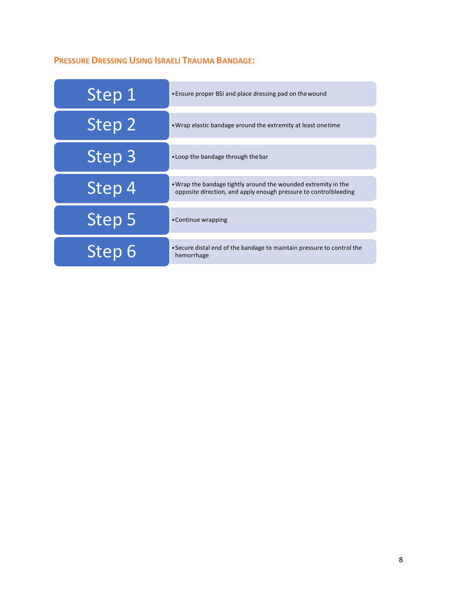### **PRESSURE DRESSING USING ISRAELI TRAUMA BANDAGE:**

| Step 1 | • Ensure proper BSI and place dressing pad on the wound                                                                            |
|--------|------------------------------------------------------------------------------------------------------------------------------------|
| Step 2 | • Wrap elastic bandage around the extremity at least one time                                                                      |
| Step 3 | • Loop the bandage through the bar                                                                                                 |
| Step 4 | . Wrap the bandage tightly around the wounded extremity in the<br>opposite direction, and apply enough pressure to controlbleeding |
| Step 5 | • Continue wrapping                                                                                                                |
| Step 6 | • Secure distal end of the bandage to maintain pressure to control the<br>hemorrhage                                               |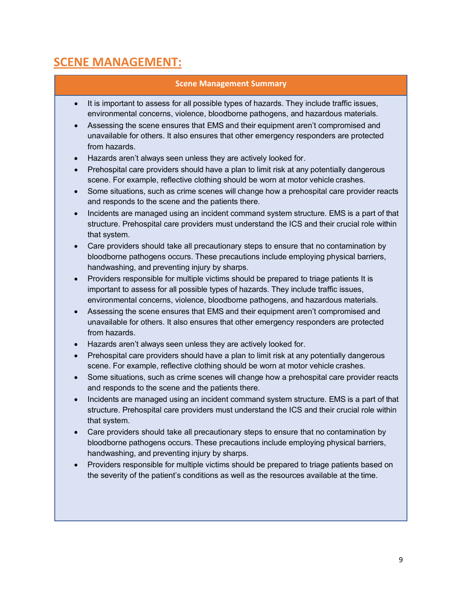### **SCENE MANAGEMENT:**

#### **Scene Management Summary**

- It is important to assess for all possible types of hazards. They include traffic issues, environmental concerns, violence, bloodborne pathogens, and hazardous materials.
- Assessing the scene ensures that EMS and their equipment aren't compromised and unavailable for others. It also ensures that other emergency responders are protected from hazards.
- Hazards aren't always seen unless they are actively looked for.
- Prehospital care providers should have a plan to limit risk at any potentially dangerous scene. For example, reflective clothing should be worn at motor vehicle crashes.
- Some situations, such as crime scenes will change how a prehospital care provider reacts and responds to the scene and the patients there.
- Incidents are managed using an incident command system structure. EMS is a part of that structure. Prehospital care providers must understand the ICS and their crucial role within that system.
- Care providers should take all precautionary steps to ensure that no contamination by bloodborne pathogens occurs. These precautions include employing physical barriers, handwashing, and preventing injury by sharps.
- Providers responsible for multiple victims should be prepared to triage patients It is important to assess for all possible types of hazards. They include traffic issues, environmental concerns, violence, bloodborne pathogens, and hazardous materials.
- Assessing the scene ensures that EMS and their equipment aren't compromised and unavailable for others. It also ensures that other emergency responders are protected from hazards.
- Hazards aren't always seen unless they are actively looked for.
- Prehospital care providers should have a plan to limit risk at any potentially dangerous scene. For example, reflective clothing should be worn at motor vehicle crashes.
- Some situations, such as crime scenes will change how a prehospital care provider reacts and responds to the scene and the patients there.
- Incidents are managed using an incident command system structure. EMS is a part of that structure. Prehospital care providers must understand the ICS and their crucial role within that system.
- Care providers should take all precautionary steps to ensure that no contamination by bloodborne pathogens occurs. These precautions include employing physical barriers, handwashing, and preventing injury by sharps.
- Providers responsible for multiple victims should be prepared to triage patients based on the severity of the patient's conditions as well as the resources available at the time.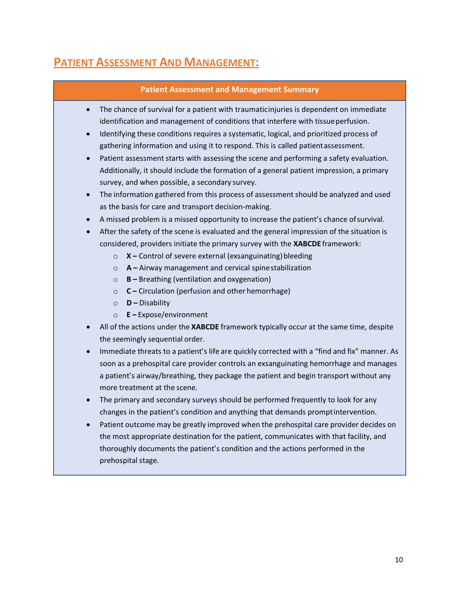## **PATIENT ASSESSMENT AND MANAGEMENT:**

| <b>Patient Assessment and Management Summary</b>                                                                                                                                                                                                                                                                                                                                                                                                                                                                                                                                                                                                                                                                                                                                                                                                                                                                                                                                                                                                                                                                                                                                                                                                                                                                                                                                                                                                                                                                                                                                                                                                                                                                                                                                                                                                                                                                                                                                                                                                                                                                                                                                                                                                                                                                                                                                                                        |
|-------------------------------------------------------------------------------------------------------------------------------------------------------------------------------------------------------------------------------------------------------------------------------------------------------------------------------------------------------------------------------------------------------------------------------------------------------------------------------------------------------------------------------------------------------------------------------------------------------------------------------------------------------------------------------------------------------------------------------------------------------------------------------------------------------------------------------------------------------------------------------------------------------------------------------------------------------------------------------------------------------------------------------------------------------------------------------------------------------------------------------------------------------------------------------------------------------------------------------------------------------------------------------------------------------------------------------------------------------------------------------------------------------------------------------------------------------------------------------------------------------------------------------------------------------------------------------------------------------------------------------------------------------------------------------------------------------------------------------------------------------------------------------------------------------------------------------------------------------------------------------------------------------------------------------------------------------------------------------------------------------------------------------------------------------------------------------------------------------------------------------------------------------------------------------------------------------------------------------------------------------------------------------------------------------------------------------------------------------------------------------------------------------------------------|
| The chance of survival for a patient with traumaticinjuries is dependent on immediate<br>$\bullet$<br>identification and management of conditions that interfere with tissue perfusion.<br>Identifying these conditions requires a systematic, logical, and prioritized process of<br>$\bullet$<br>gathering information and using it to respond. This is called patient assessment.<br>Patient assessment starts with assessing the scene and performing a safety evaluation.<br>$\bullet$<br>Additionally, it should include the formation of a general patient impression, a primary<br>survey, and when possible, a secondary survey.<br>The information gathered from this process of assessment should be analyzed and used<br>$\bullet$<br>as the basis for care and transport decision-making.<br>A missed problem is a missed opportunity to increase the patient's chance of survival.<br>$\bullet$<br>After the safety of the scene is evaluated and the general impression of the situation is<br>$\bullet$<br>considered, providers initiate the primary survey with the XABCDE framework:<br>$X$ – Control of severe external (exsanguinating) bleeding<br>$\circ$<br>$A$ – Airway management and cervical spine stabilization<br>$\circ$<br><b>B</b> - Breathing (ventilation and oxygenation)<br>$\circ$<br>C - Circulation (perfusion and other hemorrhage)<br>$\circ$<br>$D$ – Disability<br>$\circ$<br>$E - Expose/environment$<br>$\circ$<br>All of the actions under the XABCDE framework typically occur at the same time, despite<br>$\bullet$<br>the seemingly sequential order.<br>Immediate threats to a patient's life are quickly corrected with a "find and fix" manner. As<br>$\bullet$<br>soon as a prehospital care provider controls an exsanguinating hemorrhage and manages<br>a patient's airway/breathing, they package the patient and begin transport without any<br>more treatment at the scene.<br>The primary and secondary surveys should be performed frequently to look for any<br>$\bullet$<br>changes in the patient's condition and anything that demands promptintervention.<br>Patient outcome may be greatly improved when the prehospital care provider decides on<br>the most appropriate destination for the patient, communicates with that facility, and<br>thoroughly documents the patient's condition and the actions performed in the<br>prehospital stage. |
|                                                                                                                                                                                                                                                                                                                                                                                                                                                                                                                                                                                                                                                                                                                                                                                                                                                                                                                                                                                                                                                                                                                                                                                                                                                                                                                                                                                                                                                                                                                                                                                                                                                                                                                                                                                                                                                                                                                                                                                                                                                                                                                                                                                                                                                                                                                                                                                                                         |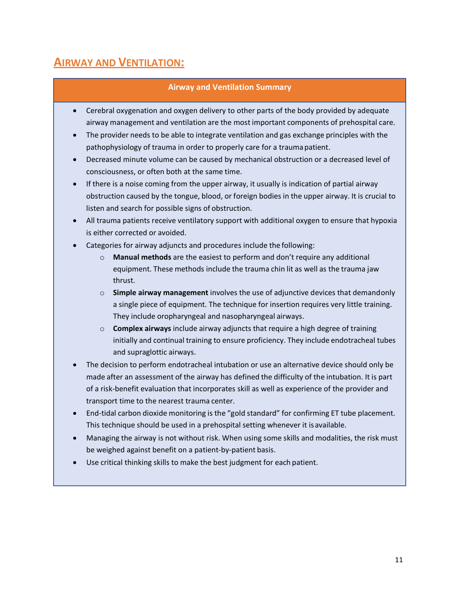### **AIRWAY AND VENTILATION:**

#### **Airway and Ventilation Summary**

- Cerebral oxygenation and oxygen delivery to other parts of the body provided by adequate airway management and ventilation are the most important components of prehospital care.
- The provider needs to be able to integrate ventilation and gas exchange principles with the pathophysiology of trauma in order to properly care for a traumapatient.
- Decreased minute volume can be caused by mechanical obstruction or a decreased level of consciousness, or often both at the same time.
- If there is a noise coming from the upper airway, it usually is indication of partial airway obstruction caused by the tongue, blood, or foreign bodies in the upper airway. It is crucial to listen and search for possible signs of obstruction.
- All trauma patients receive ventilatory support with additional oxygen to ensure that hypoxia is either corrected or avoided.
- Categories for airway adjuncts and procedures include the following:
	- o **Manual methods** are the easiest to perform and don't require any additional equipment. These methods include the trauma chin lit as well as the trauma jaw thrust.
	- o **Simple airway management** involves the use of adjunctive devices that demandonly a single piece of equipment. The technique for insertion requires very little training. They include oropharyngeal and nasopharyngeal airways.
	- o **Complex airways** include airway adjuncts that require a high degree of training initially and continual training to ensure proficiency. They include endotracheal tubes and supraglottic airways.
- The decision to perform endotracheal intubation or use an alternative device should only be made after an assessment of the airway has defined the difficulty of the intubation. It is part of a risk-benefit evaluation that incorporates skill as well as experience of the provider and transport time to the nearest trauma center.
- End-tidal carbon dioxide monitoring is the "gold standard" for confirming ET tube placement. This technique should be used in a prehospital setting whenever it is available.
- Managing the airway is not without risk. When using some skills and modalities, the risk must be weighed against benefit on a patient-by-patient basis.
- Use critical thinking skills to make the best judgment for each patient.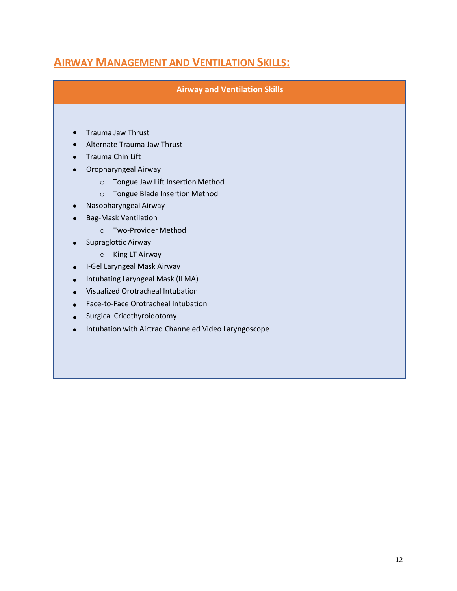### **AIRWAY MANAGEMENT AND VENTILATION SKILLS:**

**Airway and Ventilation Skills**

- Trauma Jaw Thrust
- Alternate Trauma Jaw Thrust
- Trauma Chin Lift
- Oropharyngeal Airway
	- o Tongue Jaw Lift Insertion Method
	- o Tongue Blade Insertion Method
- Nasopharyngeal Airway •
- Bag-Mask Ventilation •
	- o Two-Provider Method
- Supraglottic Airway
	- o King LT Airway
- I-Gel Laryngeal Mask Airway
- Intubating Laryngeal Mask (ILMA) •
- Visualized Orotracheal Intubation •
- Face-to-Face Orotracheal Intubation •
- Surgical Cricothyroidotomy
- Intubation with Airtraq Channeled Video Laryngoscope •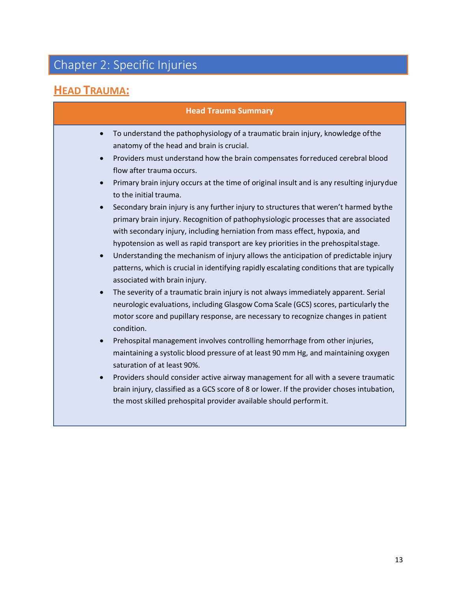# Chapter 2: Specific Injuries

# **HEAD TRAUMA:**

|           | <b>Head Trauma Summary</b>                                                                                                                                                                                                                                                                                                                        |
|-----------|---------------------------------------------------------------------------------------------------------------------------------------------------------------------------------------------------------------------------------------------------------------------------------------------------------------------------------------------------|
| $\bullet$ | To understand the pathophysiology of a traumatic brain injury, knowledge of the<br>anatomy of the head and brain is crucial.                                                                                                                                                                                                                      |
|           | Providers must understand how the brain compensates forreduced cerebral blood<br>flow after trauma occurs.                                                                                                                                                                                                                                        |
| $\bullet$ | Primary brain injury occurs at the time of original insult and is any resulting injurydue<br>to the initial trauma.                                                                                                                                                                                                                               |
|           | Secondary brain injury is any further injury to structures that weren't harmed by the<br>primary brain injury. Recognition of pathophysiologic processes that are associated<br>with secondary injury, including herniation from mass effect, hypoxia, and<br>hypotension as well as rapid transport are key priorities in the prehospital stage. |
| $\bullet$ | Understanding the mechanism of injury allows the anticipation of predictable injury<br>patterns, which is crucial in identifying rapidly escalating conditions that are typically<br>associated with brain injury.                                                                                                                                |
| $\bullet$ | The severity of a traumatic brain injury is not always immediately apparent. Serial<br>neurologic evaluations, including Glasgow Coma Scale (GCS) scores, particularly the<br>motor score and pupillary response, are necessary to recognize changes in patient<br>condition.                                                                     |
| $\bullet$ | Prehospital management involves controlling hemorrhage from other injuries,<br>maintaining a systolic blood pressure of at least 90 mm Hg, and maintaining oxygen<br>saturation of at least 90%.                                                                                                                                                  |
| $\bullet$ | Providers should consider active airway management for all with a severe traumatic<br>brain injury, classified as a GCS score of 8 or lower. If the provider choses intubation,<br>the most skilled prehospital provider available should perform it.                                                                                             |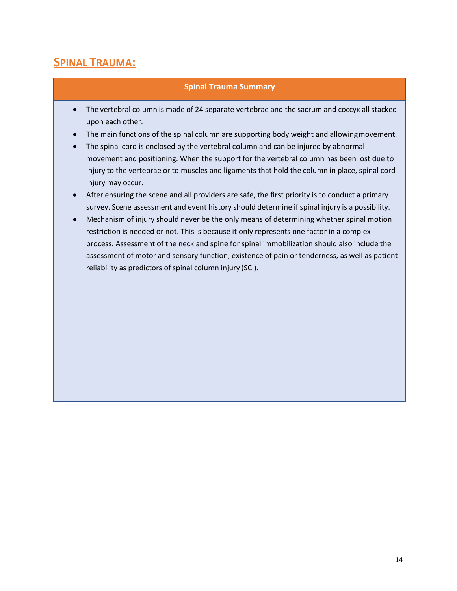### **SPINAL TRAUMA:**

#### **Spinal Trauma Summary**

- The vertebral column is made of 24 separate vertebrae and the sacrum and coccyx all stacked upon each other.
- The main functions of the spinal column are supporting body weight and allowingmovement.
- The spinal cord is enclosed by the vertebral column and can be injured by abnormal movement and positioning. When the support for the vertebral column has been lost due to injury to the vertebrae or to muscles and ligaments that hold the column in place, spinal cord injury may occur.
- After ensuring the scene and all providers are safe, the first priority is to conduct a primary survey. Scene assessment and event history should determine if spinal injury is a possibility.
- Mechanism of injury should never be the only means of determining whether spinal motion restriction is needed or not. This is because it only represents one factor in a complex process. Assessment of the neck and spine for spinal immobilization should also include the assessment of motor and sensory function, existence of pain or tenderness, as well as patient reliability as predictors of spinal column injury (SCI).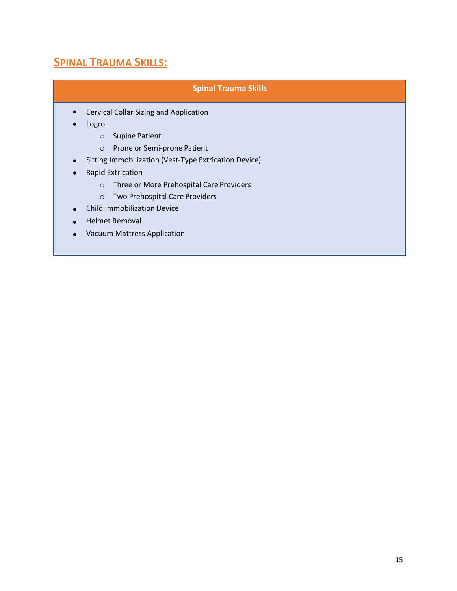### **SPINAL TRAUMA SKILLS:**

#### **Spinal Trauma Skills**

- Cervical Collar Sizing and Application •
- Logroll •
	- o Supine Patient
	- o Prone or Semi-prone Patient
- Sitting Immobilization (Vest-Type Extrication Device)
- Rapid Extrication
	- o Three or More Prehospital Care Providers
	- o Two Prehospital Care Providers
- Child Immobilization Device •
- Helmet Removal
- Vacuum Mattress Application •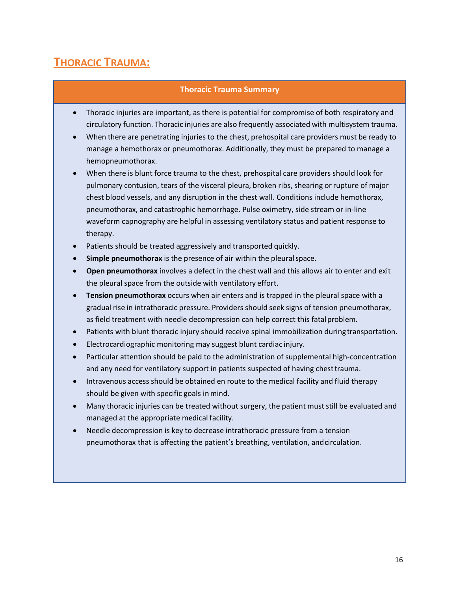### **THORACIC TRAUMA:**

#### **Thoracic Trauma Summary**

- Thoracic injuries are important, as there is potential for compromise of both respiratory and circulatory function. Thoracic injuries are also frequently associated with multisystem trauma.
- When there are penetrating injuries to the chest, prehospital care providers must be ready to manage a hemothorax or pneumothorax. Additionally, they must be prepared to manage a hemopneumothorax.
- When there is blunt force trauma to the chest, prehospital care providers should look for pulmonary contusion, tears of the visceral pleura, broken ribs, shearing or rupture of major chest blood vessels, and any disruption in the chest wall. Conditions include hemothorax, pneumothorax, and catastrophic hemorrhage. Pulse oximetry, side stream or in-line waveform capnography are helpful in assessing ventilatory status and patient response to therapy.
- Patients should be treated aggressively and transported quickly.
- **Simple pneumothorax** is the presence of air within the pleural space.
- **Open pneumothorax** involves a defect in the chest wall and this allows air to enter and exit the pleural space from the outside with ventilatory effort.
- **Tension pneumothorax** occurs when air enters and is trapped in the pleural space with a gradual rise in intrathoracic pressure. Providers should seek signs of tension pneumothorax, as field treatment with needle decompression can help correct this fatal problem.
- Patients with blunt thoracic injury should receive spinal immobilization during transportation.
- Electrocardiographic monitoring may suggest blunt cardiac injury.
- Particular attention should be paid to the administration of supplemental high-concentration and any need for ventilatory support in patients suspected of having chest trauma.
- Intravenous access should be obtained en route to the medical facility and fluid therapy should be given with specific goals in mind.
- Many thoracic injuries can be treated without surgery, the patient muststill be evaluated and managed at the appropriate medical facility.
- Needle decompression is key to decrease intrathoracic pressure from a tension pneumothorax that is affecting the patient's breathing, ventilation, andcirculation.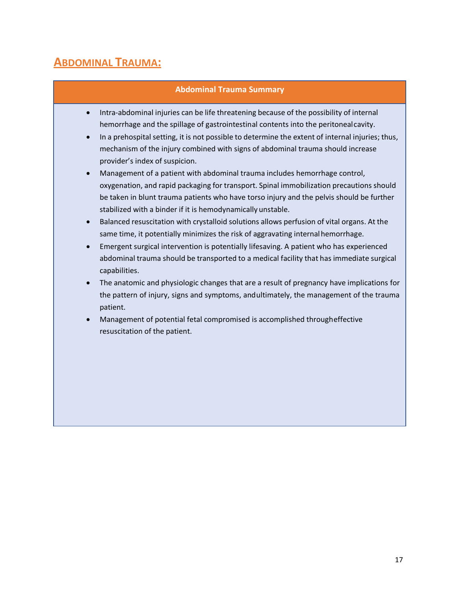### **ABDOMINAL TRAUMA:**

#### **Abdominal Trauma Summary**

- Intra-abdominal injuries can be life threatening because of the possibility of internal hemorrhage and the spillage of gastrointestinal contents into the peritonealcavity.
- In a prehospital setting, it is not possible to determine the extent of internal injuries; thus, mechanism of the injury combined with signs of abdominal trauma should increase provider's index of suspicion.
- Management of a patient with abdominal trauma includes hemorrhage control, oxygenation, and rapid packaging for transport. Spinal immobilization precautions should be taken in blunt trauma patients who have torso injury and the pelvis should be further stabilized with a binder if it is hemodynamically unstable.
- Balanced resuscitation with crystalloid solutions allows perfusion of vital organs. At the same time, it potentially minimizes the risk of aggravating internal hemorrhage.
- Emergent surgical intervention is potentially lifesaving. A patient who has experienced abdominal trauma should be transported to a medical facility that has immediate surgical capabilities.
- The anatomic and physiologic changes that are a result of pregnancy have implications for the pattern of injury, signs and symptoms, andultimately, the management of the trauma patient.
- Management of potential fetal compromised is accomplished througheffective resuscitation of the patient.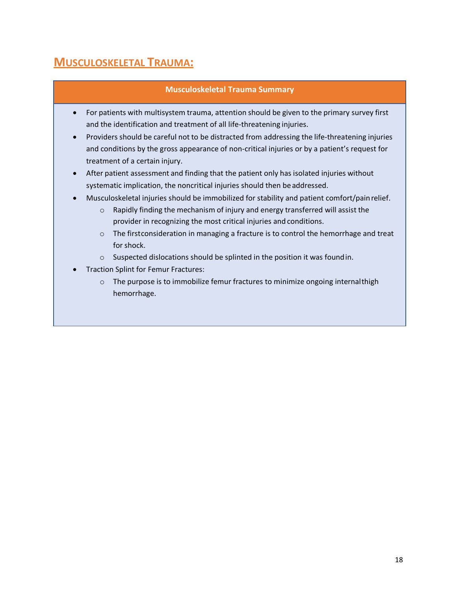### **MUSCULOSKELETAL TRAUMA:**

#### **Musculoskeletal Trauma Summary**

- For patients with multisystem trauma, attention should be given to the primary survey first and the identification and treatment of all life-threatening injuries.
- Providers should be careful not to be distracted from addressing the life-threatening injuries and conditions by the gross appearance of non-critical injuries or by a patient's request for treatment of a certain injury.
- After patient assessment and finding that the patient only has isolated injuries without systematic implication, the noncritical injuries should then be addressed.
- Musculoskeletal injuries should be immobilized for stability and patient comfort/painrelief.
	- o Rapidly finding the mechanism of injury and energy transferred will assist the provider in recognizing the most critical injuries and conditions.
	- o The firstconsideration in managing a fracture is to control the hemorrhage and treat for shock.
	- o Suspected dislocations should be splinted in the position it was foundin.
- Traction Splint for Femur Fractures:
	- o The purpose is to immobilize femur fractures to minimize ongoing internalthigh hemorrhage.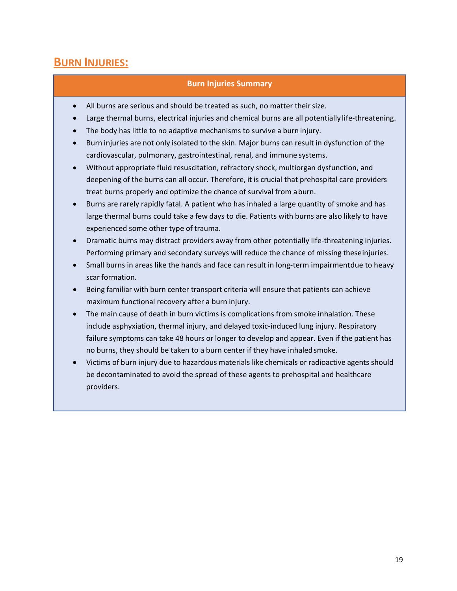### **BURN INJURIES:**

#### **Burn Injuries Summary**

- All burns are serious and should be treated as such, no matter their size.
- Large thermal burns, electrical injuries and chemical burns are all potentially life-threatening.
- The body has little to no adaptive mechanisms to survive a burn injury.
- Burn injuries are not only isolated to the skin. Major burns can result in dysfunction of the cardiovascular, pulmonary, gastrointestinal, renal, and immune systems.
- Without appropriate fluid resuscitation, refractory shock, multiorgan dysfunction, and deepening of the burns can all occur. Therefore, it is crucial that prehospital care providers treat burns properly and optimize the chance of survival from aburn.
- Burns are rarely rapidly fatal. A patient who has inhaled a large quantity of smoke and has large thermal burns could take a few days to die. Patients with burns are also likely to have experienced some other type of trauma.
- Dramatic burns may distract providers away from other potentially life-threatening injuries. Performing primary and secondary surveys will reduce the chance of missing theseinjuries.
- Small burns in areas like the hands and face can result in long-term impairmentdue to heavy scar formation.
- Being familiar with burn center transport criteria will ensure that patients can achieve maximum functional recovery after a burn injury.
- The main cause of death in burn victims is complications from smoke inhalation. These include asphyxiation, thermal injury, and delayed toxic-induced lung injury. Respiratory failure symptoms can take 48 hours or longer to develop and appear. Even if the patient has no burns, they should be taken to a burn center if they have inhaledsmoke.
- Victims of burn injury due to hazardous materials like chemicals or radioactive agents should be decontaminated to avoid the spread of these agents to prehospital and healthcare providers.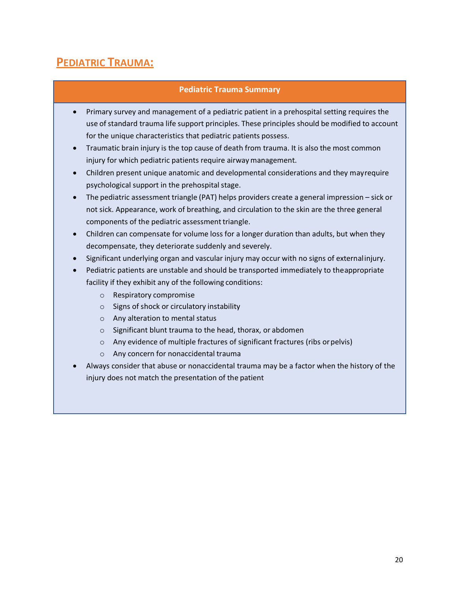### **PEDIATRIC TRAUMA:**

#### **Pediatric Trauma Summary**

- Primary survey and management of a pediatric patient in a prehospital setting requires the use of standard trauma life support principles. These principles should be modified to account for the unique characteristics that pediatric patients possess.
- Traumatic brain injury is the top cause of death from trauma. It is also the most common injury for which pediatric patients require airwaymanagement.
- Children present unique anatomic and developmental considerations and they mayrequire psychological support in the prehospital stage.
- The pediatric assessment triangle (PAT) helps providers create a general impression sick or not sick. Appearance, work of breathing, and circulation to the skin are the three general components of the pediatric assessment triangle.
- Children can compensate for volume loss for a longer duration than adults, but when they decompensate, they deteriorate suddenly and severely.
- Significant underlying organ and vascular injury may occur with no signs of externalinjury.
- Pediatric patients are unstable and should be transported immediately to theappropriate facility if they exhibit any of the following conditions:
	- o Respiratory compromise
	- o Signs of shock or circulatory instability
	- o Any alteration to mental status
	- o Significant blunt trauma to the head, thorax, or abdomen
	- o Any evidence of multiple fractures of significant fractures (ribs orpelvis)
	- o Any concern for nonaccidental trauma
- Always consider that abuse or nonaccidental trauma may be a factor when the history of the injury does not match the presentation of the patient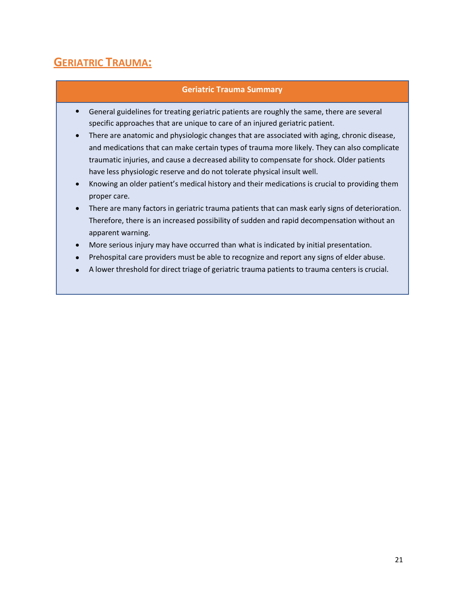### **GERIATRIC TRAUMA:**

#### **Geriatric Trauma Summary**

- General guidelines for treating geriatric patients are roughly the same, there are several specific approaches that are unique to care of an injured geriatric patient. •
- There are anatomic and physiologic changes that are associated with aging, chronic disease, and medications that can make certain types of trauma more likely. They can also complicate traumatic injuries, and cause a decreased ability to compensate for shock. Older patients have less physiologic reserve and do not tolerate physical insult well.
- Knowing an older patient's medical history and their medications is crucial to providing them proper care. •
- There are many factors in geriatric trauma patients that can mask early signs of deterioration. Therefore, there is an increased possibility of sudden and rapid decompensation without an apparent warning.
- More serious injury may have occurred than what is indicated by initial presentation. •
- Prehospital care providers must be able to recognize and report any signs of elder abuse. •
- A lower threshold for direct triage of geriatric trauma patients to trauma centers is crucial. •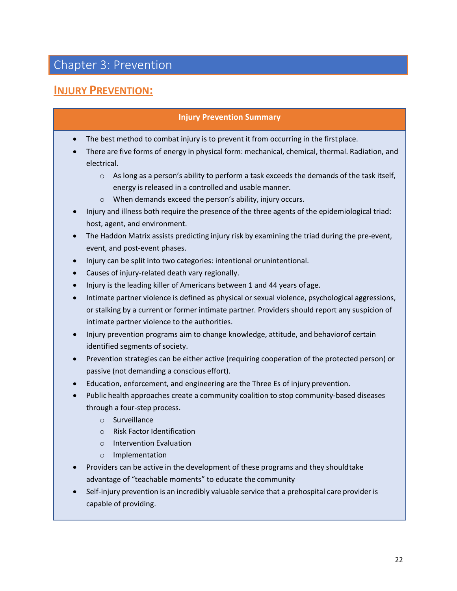### Chapter 3: Prevention

### **INJURY PREVENTION:**

#### **Injury Prevention Summary**

- The best method to combat injury is to prevent it from occurring in the first place.
- There are five forms of energy in physical form: mechanical, chemical, thermal. Radiation, and electrical.
	- o As long as a person's ability to perform a task exceeds the demands of the task itself, energy is released in a controlled and usable manner.
	- o When demands exceed the person's ability, injury occurs.
- Injury and illness both require the presence of the three agents of the epidemiological triad: host, agent, and environment.
- The Haddon Matrix assists predicting injury risk by examining the triad during the pre-event, event, and post-event phases.
- Injury can be split into two categories: intentional orunintentional.
- Causes of injury-related death vary regionally.
- Injury is the leading killer of Americans between 1 and 44 years of age.
- Intimate partner violence is defined as physical or sexual violence, psychological aggressions, or stalking by a current or former intimate partner. Providers should report any suspicion of intimate partner violence to the authorities.
- Injury prevention programs aim to change knowledge, attitude, and behaviorof certain identified segments of society.
- Prevention strategies can be either active (requiring cooperation of the protected person) or passive (not demanding a conscious effort).
- Education, enforcement, and engineering are the Three Es of injury prevention.
- Public health approaches create a community coalition to stop community-based diseases through a four-step process.
	- o Surveillance
	- o Risk Factor Identification
	- o Intervention Evaluation
	- o Implementation
- Providers can be active in the development of these programs and they shouldtake advantage of "teachable moments" to educate the community
- Self-injury prevention is an incredibly valuable service that a prehospital care provider is capable of providing.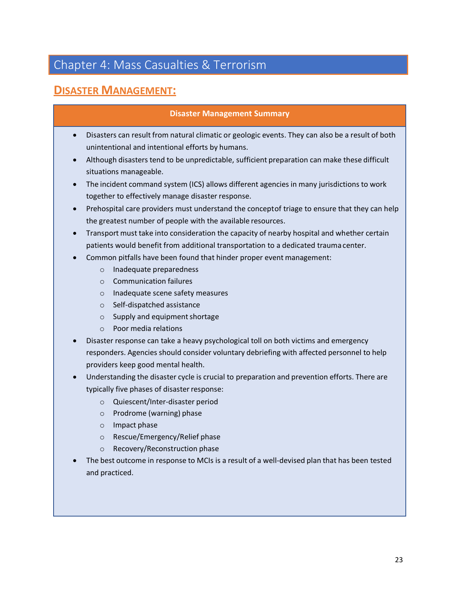### Chapter 4: Mass Casualties & Terrorism

### **DISASTER MANAGEMENT:**

#### **Disaster Management Summary**

- Disasters can result from natural climatic or geologic events. They can also be a result of both unintentional and intentional efforts by humans.
- Although disasters tend to be unpredictable, sufficient preparation can make these difficult situations manageable.
- The incident command system (ICS) allows different agencies in many jurisdictions to work together to effectively manage disaster response.
- Prehospital care providers must understand the conceptof triage to ensure that they can help the greatest number of people with the available resources.
- Transport must take into consideration the capacity of nearby hospital and whether certain patients would benefit from additional transportation to a dedicated trauma center.
- Common pitfalls have been found that hinder proper event management:
	- o Inadequate preparedness
	- o Communication failures
	- o Inadequate scene safety measures
	- o Self-dispatched assistance
	- $\circ$  Supply and equipment shortage
	- o Poor media relations
- Disaster response can take a heavy psychological toll on both victims and emergency responders. Agencies should consider voluntary debriefing with affected personnel to help providers keep good mental health.
- Understanding the disaster cycle is crucial to preparation and prevention efforts. There are typically five phases of disaster response:
	- o Quiescent/Inter-disaster period
	- o Prodrome (warning) phase
	- o Impact phase
	- o Rescue/Emergency/Relief phase
	- o Recovery/Reconstruction phase
- The best outcome in response to MCIs is a result of a well-devised plan that has been tested and practiced.